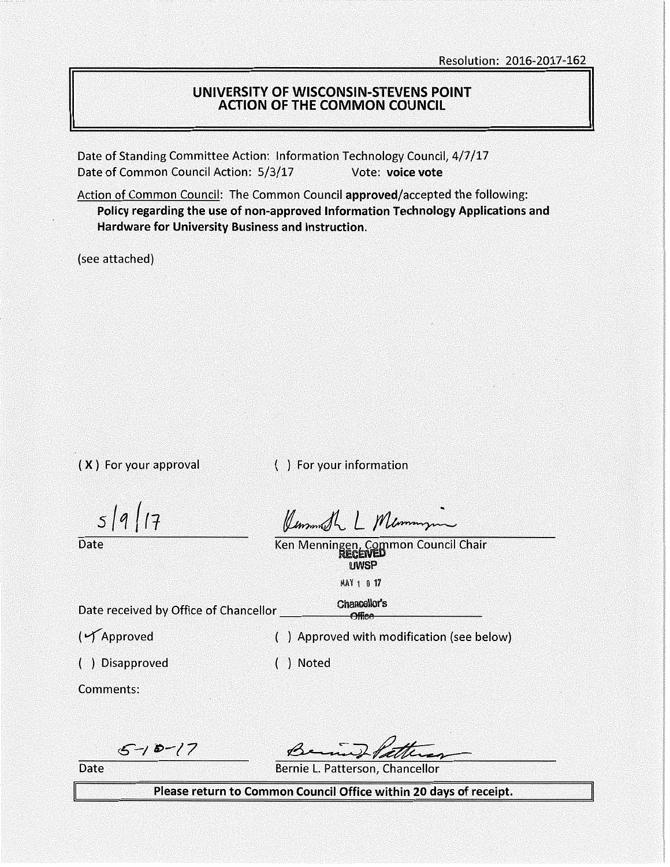#### **UNIVERSITY OF WISCONSIN-STEVENS POINT ACTION OF THE COMMON COUNCIL**

Date of Standing Committee Action: Information Technology Council, 4/7/17 Date of Common Council Action: 5/3/17 Vote: voice vote

Action of Common Council: The Common Council **approved/accepted** the following: **Policy regarding the use of non-approved Information Technology Applications and Hardware for University Business and Instruction.** 

(see attached)

( **X** ) For your approval

( ) For your information

 $5/9/17$ 

Date

Kummer L Memmin

Ken Menningen, Common Council Chair **UWSP** 

**MAY 1 0 17** 

Date received by Office of Chancellor \_\_\_\_\_\_\_\_\_\_\_\_ Chancellor's

( $\sqrt{\phantom{a}}$ Approved  $\phantom{a}$  ) Approved with modification (see below)

( ) Disapproved ) Noted

Comments:

*€-/ '8>-/7* 

Benne Patte

Date **Bernie L. Patterson, Chancellor** 

**Please return to Common Council Office within 20 days of receipt.**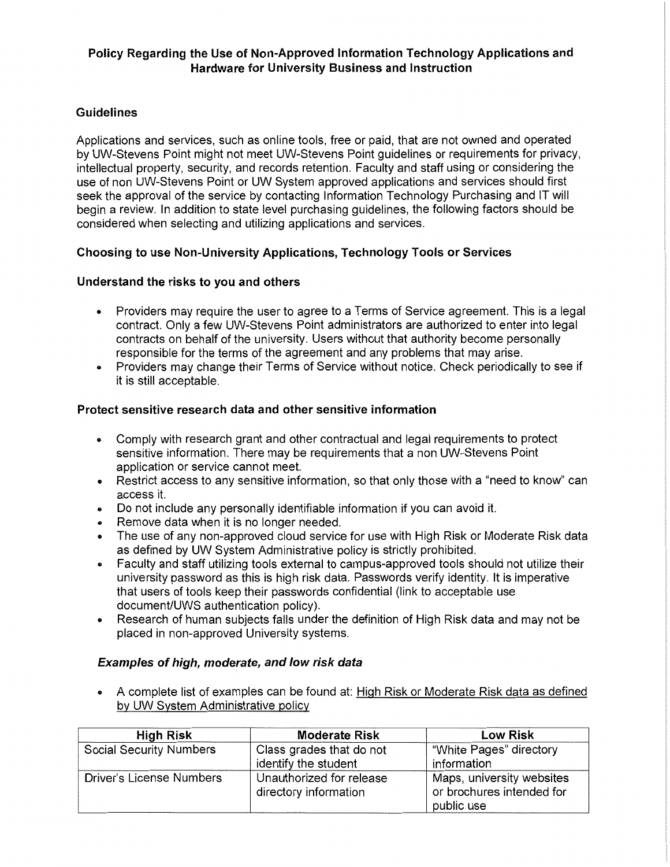## **Policy Regarding the Use of Non-Approved Information Technology Applications and Hardware for University Business and Instruction**

## **Guidelines**

Applications and services, such as online tools, free or paid, that are not owned and operated by UW-Stevens Point might not meet UW-Stevens Point guidelines or requirements for privacy, intellectual property, security, and records retention. Faculty and staff using or considering the use of non UW-Stevens Point or UW System approved applications and services should first seek the approval of the service by contacting Information Technology Purchasing and IT will begin a review. In addition to state level purchasing guidelines, the following factors should be considered when selecting and utilizing applications and services.

## **Choosing to use Non-University Applications, Technology Tools or Services**

## **Understand the risks to you and others**

- Providers may require the user to agree to a Terms of Service agreement. This is a legal contract. Only a few UW-Stevens Point administrators are authorized to enter into legal contracts on behalf of the university. Users without that authority become personally responsible for the terms of the agreement and any problems that may arise.
- Providers may change their Terms of Service without notice. Check periodically to see if it is still acceptable.

### **Protect sensitive research data and other sensitive information**

- Comply with research grant and other contractual and legal requirements to protect sensitive information. There may be requirements that a non UW-Stevens Point application or service cannot meet.
- Restrict access to any sensitive information, so that only those with a "need to know" can access it.
- Do not include any personally identifiable information if you can avoid it.
- Remove data when it is no longer needed.
- The use of any non-approved cloud service for use with High Risk or Moderate Risk data as defined by UW System Administrative policy is strictly prohibited.
- Faculty and staff utilizing tools external to campus-approved tools should not utilize their university password as this is high risk data. Passwords verify identity. It is imperative that users of tools keep their passwords confidential (link to acceptable use document/UWS authentication policy).
- Research of human subjects falls under the definition of High Risk data and may not be placed in non-approved University systems.

### **Examples of high, moderate, and low risk data**

• A complete list of examples can be found at: High Risk or Moderate Risk data as defined by UW System Administrative policy

| <b>High Risk</b>                | <b>Moderate Risk</b>                              | <b>Low Risk</b>                                                      |
|---------------------------------|---------------------------------------------------|----------------------------------------------------------------------|
| <b>Social Security Numbers</b>  | Class grades that do not                          | "White Pages" directory                                              |
|                                 | identify the student                              | information                                                          |
| <b>Driver's License Numbers</b> | Unauthorized for release<br>directory information | Maps, university websites<br>or brochures intended for<br>public use |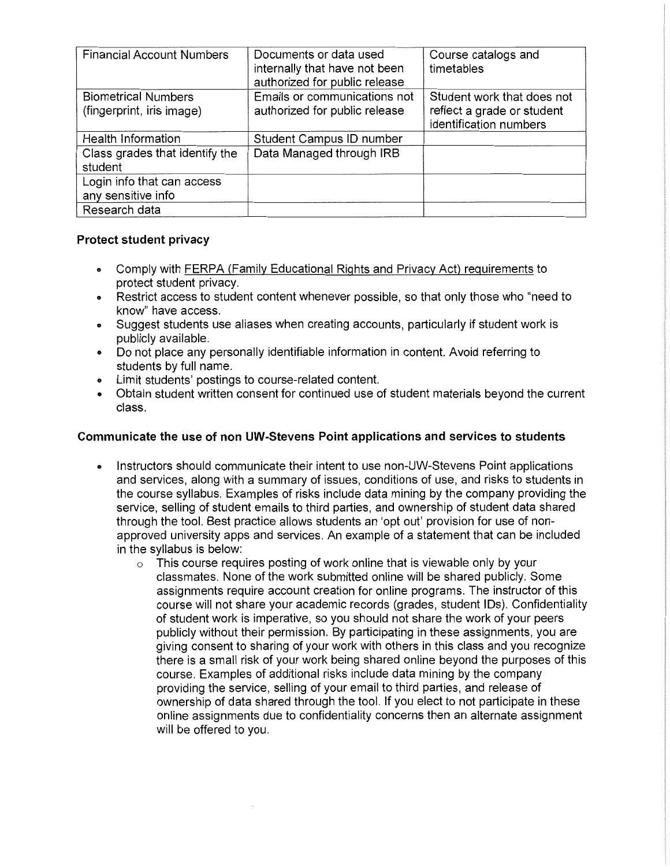| <b>Financial Account Numbers</b>                        | Documents or data used<br>internally that have not been<br>authorized for public release | Course catalogs and<br>timetables                                                  |
|---------------------------------------------------------|------------------------------------------------------------------------------------------|------------------------------------------------------------------------------------|
| <b>Biometrical Numbers</b><br>(fingerprint, iris image) | Emails or communications not<br>authorized for public release                            | Student work that does not<br>reflect a grade or student<br>identification numbers |
| <b>Health Information</b>                               | Student Campus ID number                                                                 |                                                                                    |
| Class grades that identify the<br>student               | Data Managed through IRB                                                                 |                                                                                    |
| Login info that can access<br>any sensitive info        |                                                                                          |                                                                                    |
| Research data                                           |                                                                                          |                                                                                    |

## **Protect student privacy**

- Comply with FERPA (Family Educational Rights and Privacy Act) requirements to protect student privacy.
- Restrict access to student content whenever possible, so that only those who "need to know" have access.
- Suggest students use aliases when creating accounts, particularly if student work is publicly available.
- Do not place any personally identifiable information in content. Avoid referring to students by full name.
- Limit students' postings to course-related content.
- Obtain student written consent for continued use of student materials beyond the current class.

# **Communicate the use of non UW-Stevens Point applications and services to students**

- Instructors should communicate their intent to use non-UW-Stevens Point applications and services, along with a summary of issues, conditions of use, and risks to students in the course syllabus. Examples of risks include data mining by the company providing the service, selling of student emails to third parties, and ownership of student data shared through the tool. Best practice allows students an 'opt out' provision for use of nonapproved university apps and services. An example of a statement that can be included in the syllabus is below:
	- $\circ$  This course requires posting of work online that is viewable only by your classmates. None of the work submitted online will be shared publicly. Some assignments require account creation for online programs. The instructor of this course will not share your academic records (grades, student IDs). Confidentiality of student work is imperative, so you should not share the work of your peers publicly without their permission. By participating in these assignments, you are giving consent to sharing of your work with others in this class and you recognize there is a small risk of your work being shared online beyond the purposes of this course. Examples of additional risks include data mining by the company providing the service, selling of your email to third parties, and release of ownership of data shared through the tool. If you elect to not participate in these online assignments due to confidentiality concerns then an alternate assignment will be offered to you.